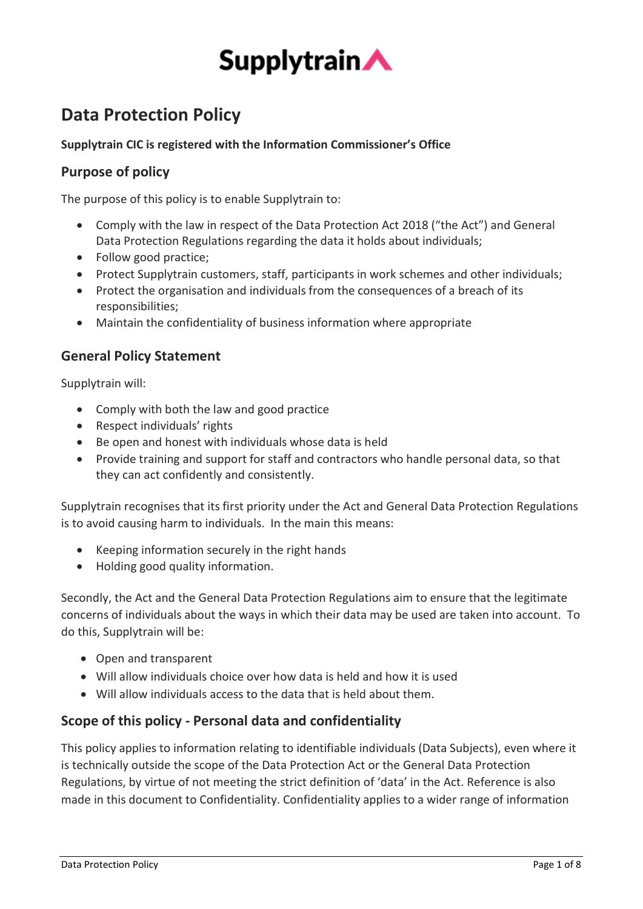

# Data Protection Policy

# Supplytrain CIC is registered with the Information Commissioner's Office

# Purpose of policy

The purpose of this policy is to enable Supplytrain to:

- Comply with the law in respect of the Data Protection Act 2018 ("the Act") and General Data Protection Regulations regarding the data it holds about individuals;
- Follow good practice;
- Protect Supplytrain customers, staff, participants in work schemes and other individuals;
- Protect the organisation and individuals from the consequences of a breach of its responsibilities;
- Maintain the confidentiality of business information where appropriate

# General Policy Statement

Supplytrain will:

- Comply with both the law and good practice
- Respect individuals' rights
- Be open and honest with individuals whose data is held
- Provide training and support for staff and contractors who handle personal data, so that they can act confidently and consistently.

Supplytrain recognises that its first priority under the Act and General Data Protection Regulations is to avoid causing harm to individuals. In the main this means:

- Keeping information securely in the right hands
- Holding good quality information.

Secondly, the Act and the General Data Protection Regulations aim to ensure that the legitimate concerns of individuals about the ways in which their data may be used are taken into account. To do this, Supplytrain will be:

- Open and transparent
- Will allow individuals choice over how data is held and how it is used
- Will allow individuals access to the data that is held about them.

# Scope of this policy - Personal data and confidentiality

This policy applies to information relating to identifiable individuals (Data Subjects), even where it is technically outside the scope of the Data Protection Act or the General Data Protection Regulations, by virtue of not meeting the strict definition of 'data' in the Act. Reference is also made in this document to Confidentiality. Confidentiality applies to a wider range of information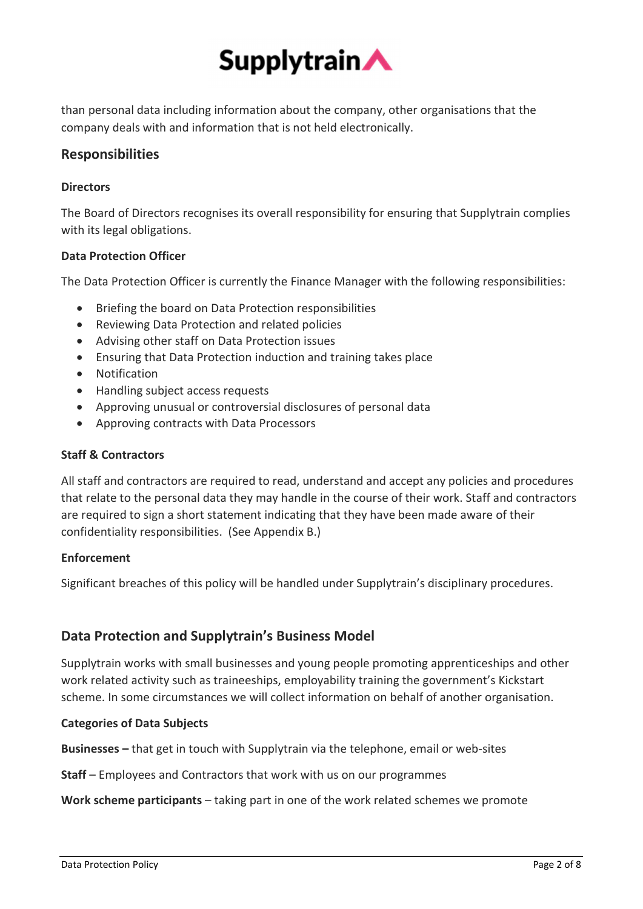

than personal data including information about the company, other organisations that the company deals with and information that is not held electronically.

# Responsibilities

# **Directors**

The Board of Directors recognises its overall responsibility for ensuring that Supplytrain complies with its legal obligations.

# Data Protection Officer

The Data Protection Officer is currently the Finance Manager with the following responsibilities:

- Briefing the board on Data Protection responsibilities
- Reviewing Data Protection and related policies
- Advising other staff on Data Protection issues
- Ensuring that Data Protection induction and training takes place
- Notification
- Handling subject access requests
- Approving unusual or controversial disclosures of personal data
- Approving contracts with Data Processors

# Staff & Contractors

All staff and contractors are required to read, understand and accept any policies and procedures that relate to the personal data they may handle in the course of their work. Staff and contractors are required to sign a short statement indicating that they have been made aware of their confidentiality responsibilities. (See Appendix B.)

# Enforcement

Significant breaches of this policy will be handled under Supplytrain's disciplinary procedures.

# Data Protection and Supplytrain's Business Model

Supplytrain works with small businesses and young people promoting apprenticeships and other work related activity such as traineeships, employability training the government's Kickstart scheme. In some circumstances we will collect information on behalf of another organisation.

# Categories of Data Subjects

Businesses – that get in touch with Supplytrain via the telephone, email or web-sites

Staff – Employees and Contractors that work with us on our programmes

Work scheme participants – taking part in one of the work related schemes we promote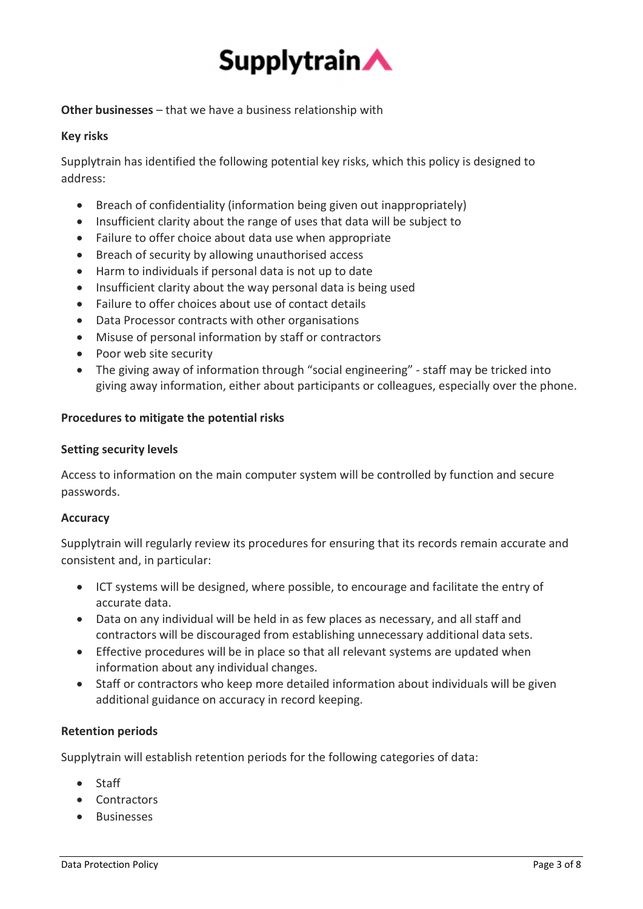

Other businesses – that we have a business relationship with

# Key risks

Supplytrain has identified the following potential key risks, which this policy is designed to address:

- Breach of confidentiality (information being given out inappropriately)
- Insufficient clarity about the range of uses that data will be subject to
- Failure to offer choice about data use when appropriate
- Breach of security by allowing unauthorised access
- Harm to individuals if personal data is not up to date
- Insufficient clarity about the way personal data is being used
- Failure to offer choices about use of contact details
- Data Processor contracts with other organisations
- Misuse of personal information by staff or contractors
- Poor web site security
- The giving away of information through "social engineering" staff may be tricked into giving away information, either about participants or colleagues, especially over the phone.

# Procedures to mitigate the potential risks

#### Setting security levels

Access to information on the main computer system will be controlled by function and secure passwords.

# Accuracy

Supplytrain will regularly review its procedures for ensuring that its records remain accurate and consistent and, in particular:

- ICT systems will be designed, where possible, to encourage and facilitate the entry of accurate data.
- Data on any individual will be held in as few places as necessary, and all staff and contractors will be discouraged from establishing unnecessary additional data sets.
- Effective procedures will be in place so that all relevant systems are updated when information about any individual changes.
- Staff or contractors who keep more detailed information about individuals will be given additional guidance on accuracy in record keeping.

# Retention periods

Supplytrain will establish retention periods for the following categories of data:

- Staff
- Contractors
- **Businesses**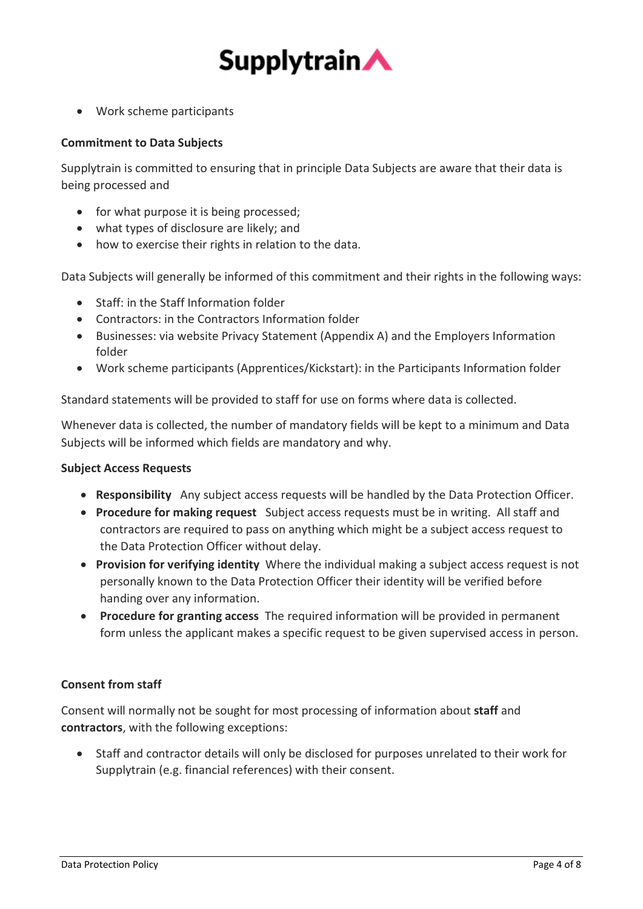

Work scheme participants

# Commitment to Data Subjects

Supplytrain is committed to ensuring that in principle Data Subjects are aware that their data is being processed and

- for what purpose it is being processed;
- what types of disclosure are likely; and
- how to exercise their rights in relation to the data.

Data Subjects will generally be informed of this commitment and their rights in the following ways:

- Staff: in the Staff Information folder
- Contractors: in the Contractors Information folder
- Businesses: via website Privacy Statement (Appendix A) and the Employers Information folder
- Work scheme participants (Apprentices/Kickstart): in the Participants Information folder

Standard statements will be provided to staff for use on forms where data is collected.

Whenever data is collected, the number of mandatory fields will be kept to a minimum and Data Subjects will be informed which fields are mandatory and why.

# Subject Access Requests

- Responsibility Any subject access requests will be handled by the Data Protection Officer.
- Procedure for making request Subject access requests must be in writing. All staff and contractors are required to pass on anything which might be a subject access request to the Data Protection Officer without delay.
- Provision for verifying identity Where the individual making a subject access request is not personally known to the Data Protection Officer their identity will be verified before handing over any information.
- Procedure for granting access The required information will be provided in permanent form unless the applicant makes a specific request to be given supervised access in person.

# Consent from staff

Consent will normally not be sought for most processing of information about staff and contractors, with the following exceptions:

 Staff and contractor details will only be disclosed for purposes unrelated to their work for Supplytrain (e.g. financial references) with their consent.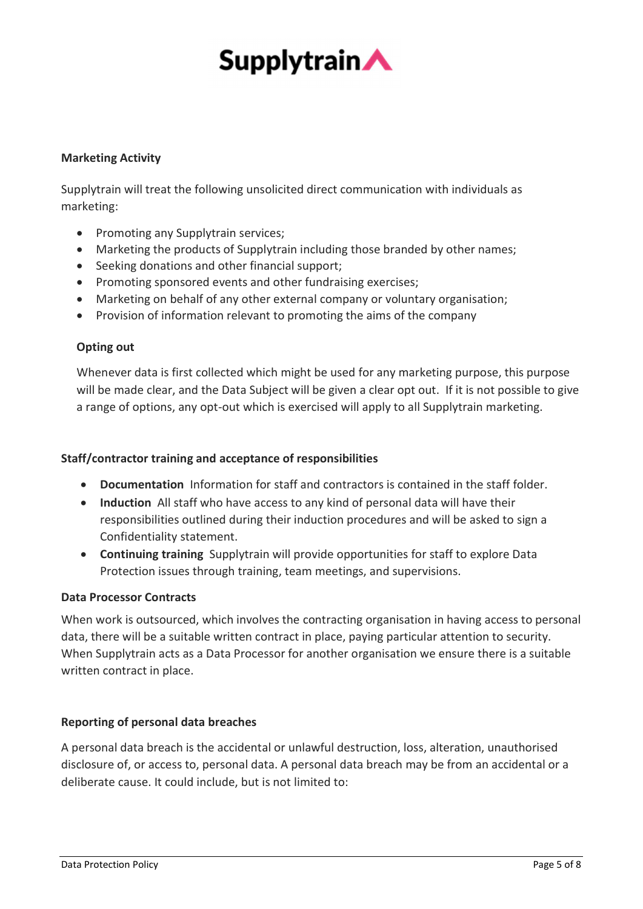

# Marketing Activity

Supplytrain will treat the following unsolicited direct communication with individuals as marketing:

- Promoting any Supplytrain services:
- Marketing the products of Supplytrain including those branded by other names;
- Seeking donations and other financial support;
- Promoting sponsored events and other fundraising exercises;
- Marketing on behalf of any other external company or voluntary organisation;
- Provision of information relevant to promoting the aims of the company

# Opting out

Whenever data is first collected which might be used for any marketing purpose, this purpose will be made clear, and the Data Subject will be given a clear opt out. If it is not possible to give a range of options, any opt-out which is exercised will apply to all Supplytrain marketing.

# Staff/contractor training and acceptance of responsibilities

- Documentation Information for staff and contractors is contained in the staff folder.
- Induction All staff who have access to any kind of personal data will have their responsibilities outlined during their induction procedures and will be asked to sign a Confidentiality statement.
- Continuing training Supplytrain will provide opportunities for staff to explore Data Protection issues through training, team meetings, and supervisions.

# Data Processor Contracts

When work is outsourced, which involves the contracting organisation in having access to personal data, there will be a suitable written contract in place, paying particular attention to security. When Supplytrain acts as a Data Processor for another organisation we ensure there is a suitable written contract in place.

# Reporting of personal data breaches

A personal data breach is the accidental or unlawful destruction, loss, alteration, unauthorised disclosure of, or access to, personal data. A personal data breach may be from an accidental or a deliberate cause. It could include, but is not limited to: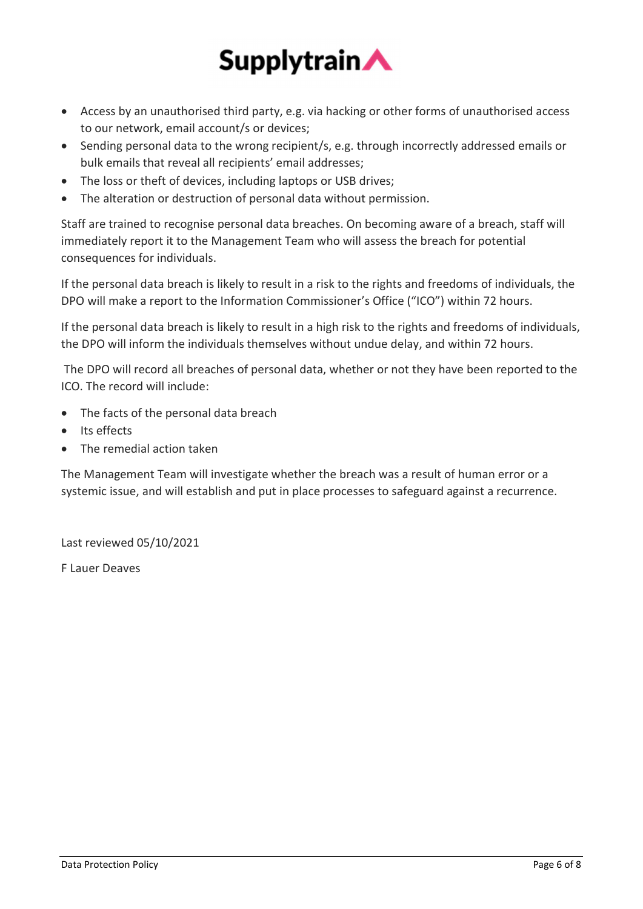

- Access by an unauthorised third party, e.g. via hacking or other forms of unauthorised access to our network, email account/s or devices;
- Sending personal data to the wrong recipient/s, e.g. through incorrectly addressed emails or bulk emails that reveal all recipients' email addresses;
- The loss or theft of devices, including laptops or USB drives;
- The alteration or destruction of personal data without permission.

Staff are trained to recognise personal data breaches. On becoming aware of a breach, staff will immediately report it to the Management Team who will assess the breach for potential consequences for individuals.

If the personal data breach is likely to result in a risk to the rights and freedoms of individuals, the DPO will make a report to the Information Commissioner's Office ("ICO") within 72 hours.

If the personal data breach is likely to result in a high risk to the rights and freedoms of individuals, the DPO will inform the individuals themselves without undue delay, and within 72 hours.

 The DPO will record all breaches of personal data, whether or not they have been reported to the ICO. The record will include:

- The facts of the personal data breach
- Its effects
- The remedial action taken

The Management Team will investigate whether the breach was a result of human error or a systemic issue, and will establish and put in place processes to safeguard against a recurrence.

Last reviewed 05/10/2021

F Lauer Deaves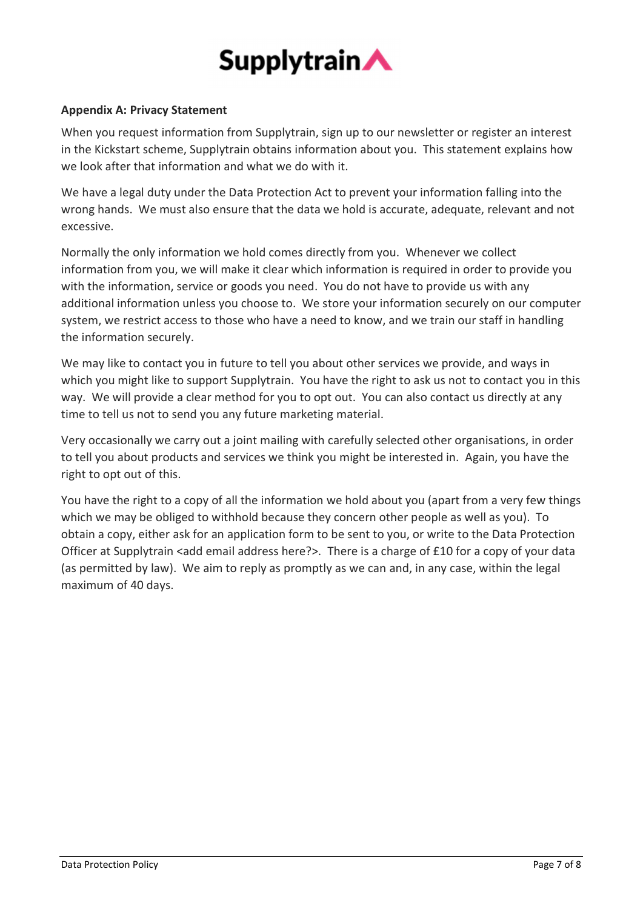

# Appendix A: Privacy Statement

When you request information from Supplytrain, sign up to our newsletter or register an interest in the Kickstart scheme, Supplytrain obtains information about you. This statement explains how we look after that information and what we do with it.

We have a legal duty under the Data Protection Act to prevent your information falling into the wrong hands. We must also ensure that the data we hold is accurate, adequate, relevant and not excessive.

Normally the only information we hold comes directly from you. Whenever we collect information from you, we will make it clear which information is required in order to provide you with the information, service or goods you need. You do not have to provide us with any additional information unless you choose to. We store your information securely on our computer system, we restrict access to those who have a need to know, and we train our staff in handling the information securely.

We may like to contact you in future to tell you about other services we provide, and ways in which you might like to support Supplytrain. You have the right to ask us not to contact you in this way. We will provide a clear method for you to opt out. You can also contact us directly at any time to tell us not to send you any future marketing material.

Very occasionally we carry out a joint mailing with carefully selected other organisations, in order to tell you about products and services we think you might be interested in. Again, you have the right to opt out of this.

You have the right to a copy of all the information we hold about you (apart from a very few things which we may be obliged to withhold because they concern other people as well as you). To obtain a copy, either ask for an application form to be sent to you, or write to the Data Protection Officer at Supplytrain <add email address here?>. There is a charge of £10 for a copy of your data (as permitted by law). We aim to reply as promptly as we can and, in any case, within the legal maximum of 40 days.